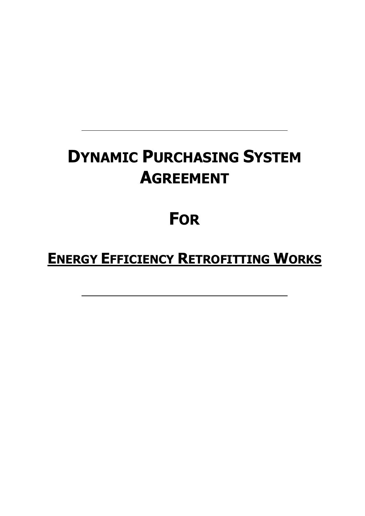# **DYNAMIC PURCHASING SYSTEM AGREEMENT**

# **FOR**

# **ENERGY EFFICIENCY RETROFITTING WORKS**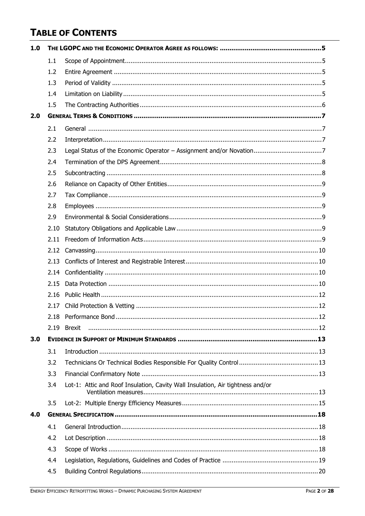# **TABLE OF CONTENTS**

| 1.0 |      |                                                                                |  |  |
|-----|------|--------------------------------------------------------------------------------|--|--|
|     | 1.1  |                                                                                |  |  |
|     | 1.2  |                                                                                |  |  |
|     | 1.3  |                                                                                |  |  |
|     | 1.4  |                                                                                |  |  |
|     | 1.5  |                                                                                |  |  |
| 2.0 |      |                                                                                |  |  |
|     | 2.1  |                                                                                |  |  |
|     | 2.2  |                                                                                |  |  |
|     | 2.3  |                                                                                |  |  |
|     | 2.4  |                                                                                |  |  |
|     | 2.5  |                                                                                |  |  |
|     | 2.6  |                                                                                |  |  |
|     | 2.7  |                                                                                |  |  |
|     | 2.8  |                                                                                |  |  |
|     | 2.9  |                                                                                |  |  |
|     | 2.10 |                                                                                |  |  |
|     | 2.11 |                                                                                |  |  |
|     | 2.12 |                                                                                |  |  |
|     | 2.13 |                                                                                |  |  |
|     | 2.14 |                                                                                |  |  |
|     | 2.15 |                                                                                |  |  |
|     | 2.16 |                                                                                |  |  |
|     | 2.17 |                                                                                |  |  |
|     |      |                                                                                |  |  |
|     | 2.19 |                                                                                |  |  |
| 3.0 |      |                                                                                |  |  |
|     | 3.1  |                                                                                |  |  |
|     | 3.2  |                                                                                |  |  |
|     | 3.3  |                                                                                |  |  |
|     | 3.4  | Lot-1: Attic and Roof Insulation, Cavity Wall Insulation, Air tightness and/or |  |  |
|     | 3.5  |                                                                                |  |  |
| 4.0 |      |                                                                                |  |  |
|     | 4.1  |                                                                                |  |  |
|     | 4.2  |                                                                                |  |  |
|     | 4.3  |                                                                                |  |  |
|     | 4.4  |                                                                                |  |  |
|     | 4.5  |                                                                                |  |  |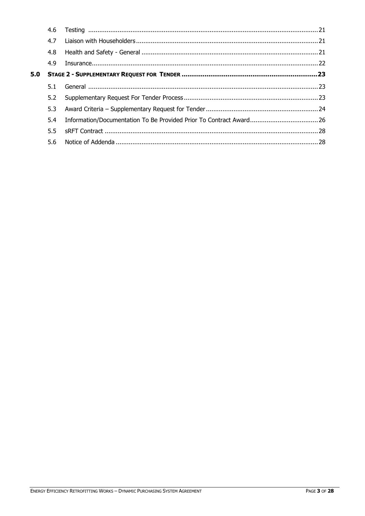|     | 4.6 |  |  |
|-----|-----|--|--|
|     | 4.7 |  |  |
|     | 4.8 |  |  |
|     | 4.9 |  |  |
| 5.0 |     |  |  |
|     | 5.1 |  |  |
|     | 5.2 |  |  |
|     | 5.3 |  |  |
|     | 5.4 |  |  |
|     | 5.5 |  |  |
|     | 5.6 |  |  |
|     |     |  |  |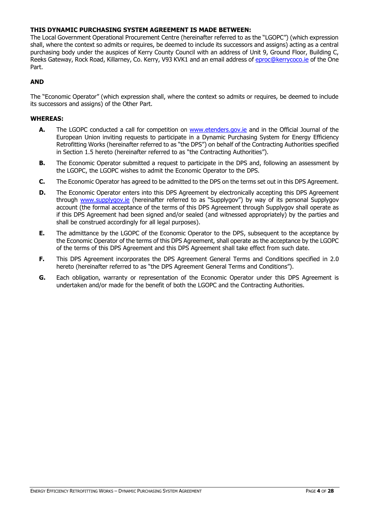# **THIS DYNAMIC PURCHASING SYSTEM AGREEMENT IS MADE BETWEEN:**

The Local Government Operational Procurement Centre (hereinafter referred to as the "LGOPC") (which expression shall, where the context so admits or requires, be deemed to include its successors and assigns) acting as a central purchasing body under the auspices of Kerry County Council with an address of Unit 9, Ground Floor, Building C, Reeks Gateway, Rock Road, Killarney, Co. Kerry, V93 KVK1 and an email address of [eproc@kerrycoco.ie](mailto:eproc@kerrycoco.ie) of the One Part.

# **AND**

The "Economic Operator" (which expression shall, where the context so admits or requires, be deemed to include its successors and assigns) of the Other Part.

# **WHEREAS:**

- **A.** The LGOPC conducted a call for competition on [www.etenders.gov.ie](http://www.etenders.gov.ie/) and in the Official Journal of the European Union inviting requests to participate in a Dynamic Purchasing System for Energy Efficiency Retrofitting Works (hereinafter referred to as "the DPS") on behalf of the Contracting Authorities specified in Section 1.5 hereto (hereinafter referred to as "the Contracting Authorities").
- **B.** The Economic Operator submitted a request to participate in the DPS and, following an assessment by the LGOPC, the LGOPC wishes to admit the Economic Operator to the DPS.
- **C.** The Economic Operator has agreed to be admitted to the DPS on the terms set out in this DPS Agreement.
- **D.** The Economic Operator enters into this DPS Agreement by electronically accepting this DPS Agreement through [www.supplygov.ie](http://www.supplygov.ie/) (hereinafter referred to as "Supplygov") by way of its personal Supplygov account (the formal acceptance of the terms of this DPS Agreement through Supplygov shall operate as if this DPS Agreement had been signed and/or sealed (and witnessed appropriately) by the parties and shall be construed accordingly for all legal purposes).
- **E.** The admittance by the LGOPC of the Economic Operator to the DPS, subsequent to the acceptance by the Economic Operator of the terms of this DPS Agreement, shall operate as the acceptance by the LGOPC of the terms of this DPS Agreement and this DPS Agreement shall take effect from such date.
- **F.** This DPS Agreement incorporates the DPS Agreement General Terms and Conditions specified in 2.0 hereto (hereinafter referred to as "the DPS Agreement General Terms and Conditions").
- **G.** Each obligation, warranty or representation of the Economic Operator under this DPS Agreement is undertaken and/or made for the benefit of both the LGOPC and the Contracting Authorities.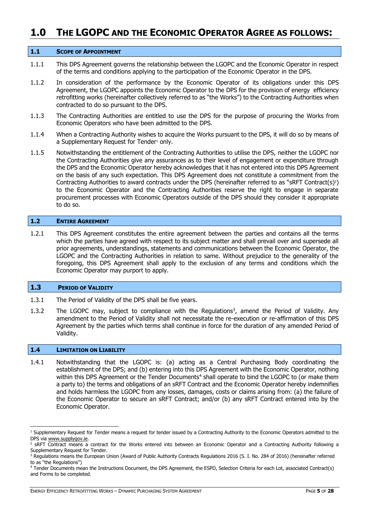# <span id="page-4-0"></span>**1.0 THE LGOPC AND THE ECONOMIC OPERATOR AGREE AS FOLLOWS:**

#### <span id="page-4-1"></span>**1.1 SCOPE OF APPOINTMENT**

- 1.1.1 This DPS Agreement governs the relationship between the LGOPC and the Economic Operator in respect of the terms and conditions applying to the participation of the Economic Operator in the DPS.
- 1.1.2 In consideration of the performance by the Economic Operator of its obligations under this DPS Agreement, the LGOPC appoints the Economic Operator to the DPS for the provision of energy efficiency retrofitting works (hereinafter collectively referred to as "the Works") to the Contracting Authorities when contracted to do so pursuant to the DPS.
- 1.1.3 The Contracting Authorities are entitled to use the DPS for the purpose of procuring the Works from Economic Operators who have been admitted to the DPS.
- 1.1.4 When a Contracting Authority wishes to acquire the Works pursuant to the DPS, it will do so by means of a Supplementary Request for Tender<sup>1</sup> only.
- 1.1.5 Notwithstanding the entitlement of the Contracting Authorities to utilise the DPS, neither the LGOPC nor the Contracting Authorities give any assurances as to their level of engagement or expenditure through the DPS and the Economic Operator hereby acknowledges that it has not entered into this DPS Agreement on the basis of any such expectation. This DPS Agreement does not constitute a commitment from the Contracting Authorities to award contracts under the DPS (hereinafter referred to as "sRFT Contract(s)?) to the Economic Operator and the Contracting Authorities reserve the right to engage in separate procurement processes with Economic Operators outside of the DPS should they consider it appropriate to do so.

# <span id="page-4-2"></span>**1.2 ENTIRE AGREEMENT**

1.2.1 This DPS Agreement constitutes the entire agreement between the parties and contains all the terms which the parties have agreed with respect to its subject matter and shall prevail over and supersede all prior agreements, understandings, statements and communications between the Economic Operator, the LGOPC and the Contracting Authorities in relation to same. Without prejudice to the generality of the foregoing, this DPS Agreement shall apply to the exclusion of any terms and conditions which the Economic Operator may purport to apply.

#### <span id="page-4-3"></span>**1.3 PERIOD OF VALIDITY**

- 1.3.1 The Period of Validity of the DPS shall be five years.
- 1.3.2 The LGOPC may, subject to compliance with the Regulations<sup>3</sup>, amend the Period of Validity. Any amendment to the Period of Validity shall not necessitate the re-execution or re-affirmation of this DPS Agreement by the parties which terms shall continue in force for the duration of any amended Period of Validity.

#### <span id="page-4-4"></span>**1.4 LIMITATION ON LIABILITY**

-

1.4.1 Notwithstanding that the LGOPC is: (a) acting as a Central Purchasing Body coordinating the establishment of the DPS; and (b) entering into this DPS Agreement with the Economic Operator, nothing within this DPS Agreement or the Tender Documents<sup>4</sup> shall operate to bind the LGOPC to (or make them a party to) the terms and obligations of an sRFT Contract and the Economic Operator hereby indemnifies and holds harmless the LGOPC from any losses, damages, costs or claims arising from: (a) the failure of the Economic Operator to secure an sRFT Contract; and/or (b) any sRFT Contract entered into by the Economic Operator.

<sup>&</sup>lt;sup>1</sup> Supplementary Request for Tender means a request for tender issued by a Contracting Authority to the Economic Operators admitted to the DPS via [www.supplygov.ie.](http://www.supplygov.ie/)

<sup>&</sup>lt;sup>2</sup> SRFT Contract means a contract for the Works entered into between an Economic Operator and a Contracting Authority following a Supplementary Request for Tender.

<sup>&</sup>lt;sup>3</sup> Regulations means the European Union (Award of Public Authority Contracts Regulations 2016 (S. I. No. 284 of 2016) (hereinafter referred to as "the Regulations")

<sup>4</sup> Tender Documents mean the Instructions Document, the DPS Agreement, the ESPD, Selection Criteria for each Lot, associated Contract(s) and Forms to be completed.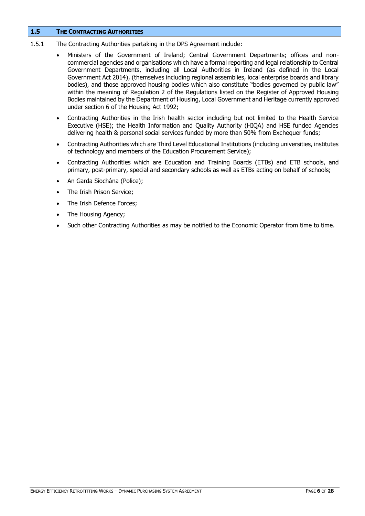# <span id="page-5-0"></span>**1.5 THE CONTRACTING AUTHORITIES**

- 1.5.1 The Contracting Authorities partaking in the DPS Agreement include:
	- Ministers of the Government of Ireland; Central Government Departments; offices and noncommercial agencies and organisations which have a formal reporting and legal relationship to Central Government Departments, including all Local Authorities in Ireland (as defined in the Local Government Act 2014), (themselves including regional assemblies, local enterprise boards and library bodies), and those approved housing bodies which also constitute "bodies governed by public law" within the meaning of Regulation 2 of the Regulations listed on the Register of Approved Housing Bodies maintained by the Department of Housing, Local Government and Heritage currently approved under section 6 of the Housing Act 1992;
	- Contracting Authorities in the Irish health sector including but not limited to the Health Service Executive (HSE); the Health Information and Quality Authority (HIQA) and HSE funded Agencies delivering health & personal social services funded by more than 50% from Exchequer funds;
	- Contracting Authorities which are Third Level Educational Institutions (including universities, institutes of technology and members of the Education Procurement Service);
	- Contracting Authorities which are Education and Training Boards (ETBs) and ETB schools, and primary, post-primary, special and secondary schools as well as ETBs acting on behalf of schools;
	- An Garda Síochána (Police);
	- The Irish Prison Service;
	- The Irish Defence Forces;
	- The Housing Agency;
	- Such other Contracting Authorities as may be notified to the Economic Operator from time to time.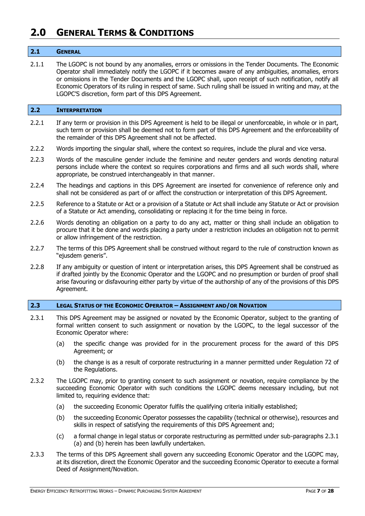# <span id="page-6-0"></span>**2.0 GENERAL TERMS & CONDITIONS**

# <span id="page-6-1"></span>**2.1 GENERAL**

2.1.1 The LGOPC is not bound by any anomalies, errors or omissions in the Tender Documents. The Economic Operator shall immediately notify the LGOPC if it becomes aware of any ambiguities, anomalies, errors or omissions in the Tender Documents and the LGOPC shall, upon receipt of such notification, notify all Economic Operators of its ruling in respect of same. Such ruling shall be issued in writing and may, at the LGOPC'S discretion, form part of this DPS Agreement.

# <span id="page-6-2"></span>**2.2 INTERPRETATION**

- 2.2.1 If any term or provision in this DPS Agreement is held to be illegal or unenforceable, in whole or in part, such term or provision shall be deemed not to form part of this DPS Agreement and the enforceability of the remainder of this DPS Agreement shall not be affected.
- 2.2.2 Words importing the singular shall, where the context so requires, include the plural and vice versa.
- 2.2.3 Words of the masculine gender include the feminine and neuter genders and words denoting natural persons include where the context so requires corporations and firms and all such words shall, where appropriate, be construed interchangeably in that manner.
- 2.2.4 The headings and captions in this DPS Agreement are inserted for convenience of reference only and shall not be considered as part of or affect the construction or interpretation of this DPS Agreement.
- 2.2.5 Reference to a Statute or Act or a provision of a Statute or Act shall include any Statute or Act or provision of a Statute or Act amending, consolidating or replacing it for the time being in force.
- 2.2.6 Words denoting an obligation on a party to do any act, matter or thing shall include an obligation to procure that it be done and words placing a party under a restriction includes an obligation not to permit or allow infringement of the restriction.
- 2.2.7 The terms of this DPS Agreement shall be construed without regard to the rule of construction known as "ejusdem generis".
- 2.2.8 If any ambiguity or question of intent or interpretation arises, this DPS Agreement shall be construed as if drafted jointly by the Economic Operator and the LGOPC and no presumption or burden of proof shall arise favouring or disfavouring either party by virtue of the authorship of any of the provisions of this DPS Agreement.

# <span id="page-6-3"></span>**2.3 LEGAL STATUS OF THE ECONOMIC OPERATOR – ASSIGNMENT AND/OR NOVATION**

- 2.3.1 This DPS Agreement may be assigned or novated by the Economic Operator, subject to the granting of formal written consent to such assignment or novation by the LGOPC, to the legal successor of the Economic Operator where:
	- (a) the specific change was provided for in the procurement process for the award of this DPS Agreement; or
	- (b) the change is as a result of corporate restructuring in a manner permitted under Regulation 72 of the Regulations.
- 2.3.2 The LGOPC may, prior to granting consent to such assignment or novation, require compliance by the succeeding Economic Operator with such conditions the LGOPC deems necessary including, but not limited to, requiring evidence that:
	- (a) the succeeding Economic Operator fulfils the qualifying criteria initially established;
	- (b) the succeeding Economic Operator possesses the capability (technical or otherwise), resources and skills in respect of satisfying the requirements of this DPS Agreement and;
	- (c) a formal change in legal status or corporate restructuring as permitted under sub-paragraphs 2.3.1 (a) and (b) herein has been lawfully undertaken.
- 2.3.3 The terms of this DPS Agreement shall govern any succeeding Economic Operator and the LGOPC may, at its discretion, direct the Economic Operator and the succeeding Economic Operator to execute a formal Deed of Assignment/Novation.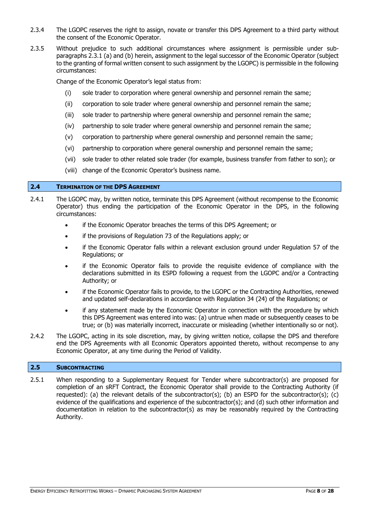- 2.3.4 The LGOPC reserves the right to assign, novate or transfer this DPS Agreement to a third party without the consent of the Economic Operator.
- 2.3.5 Without prejudice to such additional circumstances where assignment is permissible under subparagraphs 2.3.1 (a) and (b) herein, assignment to the legal successor of the Economic Operator (subject to the granting of formal written consent to such assignment by the LGOPC) is permissible in the following circumstances:

Change of the Economic Operator's legal status from:

- (i) sole trader to corporation where general ownership and personnel remain the same;
- (ii) corporation to sole trader where general ownership and personnel remain the same;
- (iii) sole trader to partnership where general ownership and personnel remain the same;
- (iv) partnership to sole trader where general ownership and personnel remain the same;
- (v) corporation to partnership where general ownership and personnel remain the same;
- (vi) partnership to corporation where general ownership and personnel remain the same;
- (vii) sole trader to other related sole trader (for example, business transfer from father to son); or
- (viii) change of the Economic Operator's business name.

# <span id="page-7-0"></span>**2.4 TERMINATION OF THE DPS AGREEMENT**

- 2.4.1 The LGOPC may, by written notice, terminate this DPS Agreement (without recompense to the Economic Operator) thus ending the participation of the Economic Operator in the DPS, in the following circumstances:
	- if the Economic Operator breaches the terms of this DPS Agreement; or
	- if the provisions of Regulation 73 of the Regulations apply; or
	- if the Economic Operator falls within a relevant exclusion ground under Regulation 57 of the Regulations; or
	- if the Economic Operator fails to provide the requisite evidence of compliance with the declarations submitted in its ESPD following a request from the LGOPC and/or a Contracting Authority; or
	- if the Economic Operator fails to provide, to the LGOPC or the Contracting Authorities, renewed and updated self-declarations in accordance with Regulation 34 (24) of the Regulations; or
	- if any statement made by the Economic Operator in connection with the procedure by which this DPS Agreement was entered into was: (a) untrue when made or subsequently ceases to be true; or (b) was materially incorrect, inaccurate or misleading (whether intentionally so or not).
- 2.4.2 The LGOPC, acting in its sole discretion, may, by giving written notice, collapse the DPS and therefore end the DPS Agreements with all Economic Operators appointed thereto, without recompense to any Economic Operator, at any time during the Period of Validity.

# <span id="page-7-1"></span>**2.5 SUBCONTRACTING**

2.5.1 When responding to a Supplementary Request for Tender where subcontractor(s) are proposed for completion of an sRFT Contract, the Economic Operator shall provide to the Contracting Authority (if requested): (a) the relevant details of the subcontractor(s); (b) an ESPD for the subcontractor(s); (c) evidence of the qualifications and experience of the subcontractor(s); and (d) such other information and documentation in relation to the subcontractor(s) as may be reasonably required by the Contracting Authority.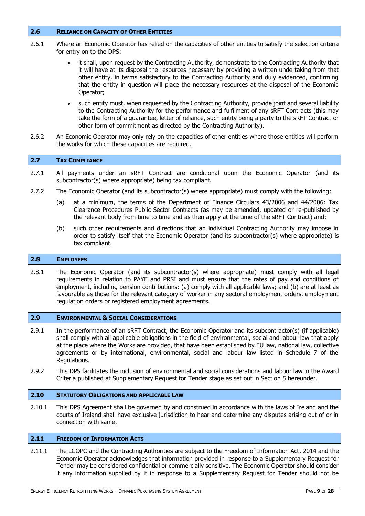# <span id="page-8-0"></span>**2.6 RELIANCE ON CAPACITY OF OTHER ENTITIES**

- 2.6.1 Where an Economic Operator has relied on the capacities of other entities to satisfy the selection criteria for entry on to the DPS:
	- it shall, upon request by the Contracting Authority, demonstrate to the Contracting Authority that it will have at its disposal the resources necessary by providing a written undertaking from that other entity, in terms satisfactory to the Contracting Authority and duly evidenced, confirming that the entity in question will place the necessary resources at the disposal of the Economic Operator;
	- such entity must, when requested by the Contracting Authority, provide joint and several liability to the Contracting Authority for the performance and fulfilment of any sRFT Contracts (this may take the form of a guarantee, letter of reliance, such entity being a party to the sRFT Contract or other form of commitment as directed by the Contracting Authority).
- 2.6.2 An Economic Operator may only rely on the capacities of other entities where those entities will perform the works for which these capacities are required.

# <span id="page-8-1"></span>**2.7 TAX COMPLIANCE**

- 2.7.1 All payments under an sRFT Contract are conditional upon the Economic Operator (and its subcontractor(s) where appropriate) being tax compliant.
- 2.7.2 The Economic Operator (and its subcontractor(s) where appropriate) must comply with the following:
	- (a) at a minimum, the terms of the Department of Finance Circulars 43/2006 and 44/2006: Tax Clearance Procedures Public Sector Contracts (as may be amended, updated or re-published by the relevant body from time to time and as then apply at the time of the sRFT Contract) and;
	- (b) such other requirements and directions that an individual Contracting Authority may impose in order to satisfy itself that the Economic Operator (and its subcontractor(s) where appropriate) is tax compliant.

#### <span id="page-8-2"></span>**2.8 EMPLOYEES**

2.8.1 The Economic Operator (and its subcontractor(s) where appropriate) must comply with all legal requirements in relation to PAYE and PRSI and must ensure that the rates of pay and conditions of employment, including pension contributions: (a) comply with all applicable laws; and (b) are at least as favourable as those for the relevant category of worker in any sectoral employment orders, employment regulation orders or registered employment agreements.

### <span id="page-8-3"></span>**2.9 ENVIRONMENTAL & SOCIAL CONSIDERATIONS**

- 2.9.1 In the performance of an sRFT Contract, the Economic Operator and its subcontractor(s) (if applicable) shall comply with all applicable obligations in the field of environmental, social and labour law that apply at the place where the Works are provided, that have been established by EU law, national law, collective agreements or by international, environmental, social and labour law listed in Schedule 7 of the Regulations.
- 2.9.2 This DPS facilitates the inclusion of environmental and social considerations and labour law in the Award Criteria published at Supplementary Request for Tender stage as set out in Section 5 hereunder.

# <span id="page-8-4"></span>**2.10 STATUTORY OBLIGATIONS AND APPLICABLE LAW**

2.10.1 This DPS Agreement shall be governed by and construed in accordance with the laws of Ireland and the courts of Ireland shall have exclusive jurisdiction to hear and determine any disputes arising out of or in connection with same.

# <span id="page-8-5"></span>**2.11 FREEDOM OF INFORMATION ACTS**

2.11.1 The LGOPC and the Contracting Authorities are subject to the Freedom of Information Act, 2014 and the Economic Operator acknowledges that information provided in response to a Supplementary Request for Tender may be considered confidential or commercially sensitive. The Economic Operator should consider if any information supplied by it in response to a Supplementary Request for Tender should not be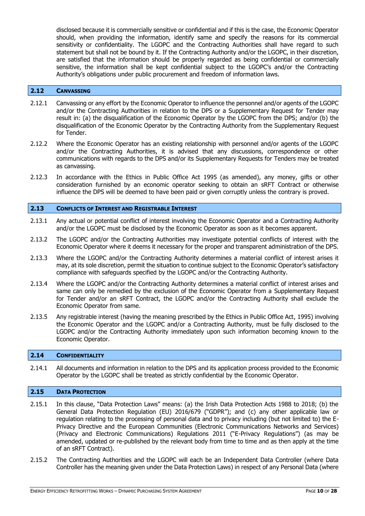disclosed because it is commercially sensitive or confidential and if this is the case, the Economic Operator should, when providing the information, identify same and specify the reasons for its commercial sensitivity or confidentiality. The LGOPC and the Contracting Authorities shall have regard to such statement but shall not be bound by it. If the Contracting Authority and/or the LGOPC, in their discretion, are satisfied that the information should be properly regarded as being confidential or commercially sensitive, the information shall be kept confidential subject to the LGOPC's and/or the Contracting Authority's obligations under public procurement and freedom of information laws.

#### <span id="page-9-0"></span>**2.12 CANVASSING**

- 2.12.1 Canvassing or any effort by the Economic Operator to influence the personnel and/or agents of the LGOPC and/or the Contracting Authorities in relation to the DPS or a Supplementary Request for Tender may result in: (a) the disqualification of the Economic Operator by the LGOPC from the DPS; and/or (b) the disqualification of the Economic Operator by the Contracting Authority from the Supplementary Request for Tender.
- 2.12.2 Where the Economic Operator has an existing relationship with personnel and/or agents of the LGOPC and/or the Contracting Authorities, it is advised that any discussions, correspondence or other communications with regards to the DPS and/or its Supplementary Requests for Tenders may be treated as canvassing.
- 2.12.3 In accordance with the Ethics in Public Office Act 1995 (as amended), any money, gifts or other consideration furnished by an economic operator seeking to obtain an sRFT Contract or otherwise influence the DPS will be deemed to have been paid or given corruptly unless the contrary is proved.

#### <span id="page-9-1"></span>**2.13 CONFLICTS OF INTEREST AND REGISTRABLE INTEREST**

- 2.13.1 Any actual or potential conflict of interest involving the Economic Operator and a Contracting Authority and/or the LGOPC must be disclosed by the Economic Operator as soon as it becomes apparent.
- 2.13.2 The LGOPC and/or the Contracting Authorities may investigate potential conflicts of interest with the Economic Operator where it deems it necessary for the proper and transparent administration of the DPS.
- 2.13.3 Where the LGOPC and/or the Contracting Authority determines a material conflict of interest arises it may, at its sole discretion, permit the situation to continue subject to the Economic Operator's satisfactory compliance with safeguards specified by the LGOPC and/or the Contracting Authority.
- 2.13.4 Where the LGOPC and/or the Contracting Authority determines a material conflict of interest arises and same can only be remedied by the exclusion of the Economic Operator from a Supplementary Request for Tender and/or an sRFT Contract, the LGOPC and/or the Contracting Authority shall exclude the Economic Operator from same.
- 2.13.5 Any registrable interest (having the meaning prescribed by the Ethics in Public Office Act, 1995) involving the Economic Operator and the LGOPC and/or a Contracting Authority, must be fully disclosed to the LGOPC and/or the Contracting Authority immediately upon such information becoming known to the Economic Operator.

#### <span id="page-9-2"></span>**2.14 CONFIDENTIALITY**

2.14.1 All documents and information in relation to the DPS and its application process provided to the Economic Operator by the LGOPC shall be treated as strictly confidential by the Economic Operator.

# <span id="page-9-3"></span>**2.15 DATA PROTECTION**

- 2.15.1 In this clause, "Data Protection Laws" means: (a) the Irish Data Protection Acts 1988 to 2018; (b) the General Data Protection Regulation (EU) 2016/679 ("GDPR"); and (c) any other applicable law or regulation relating to the processing of personal data and to privacy including (but not limited to) the E-Privacy Directive and the European Communities (Electronic Communications Networks and Services) (Privacy and Electronic Communications) Regulations 2011 ("E-Privacy Regulations") (as may be amended, updated or re-published by the relevant body from time to time and as then apply at the time of an sRFT Contract).
- 2.15.2 The Contracting Authorities and the LGOPC will each be an Independent Data Controller (where Data Controller has the meaning given under the Data Protection Laws) in respect of any Personal Data (where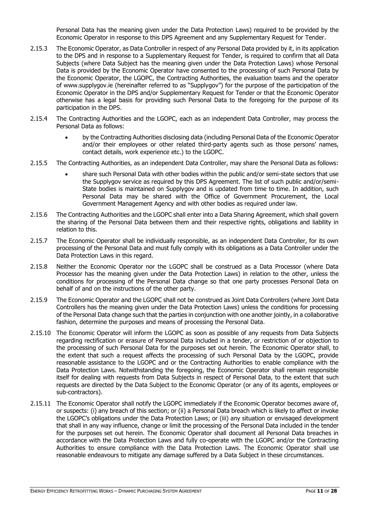Personal Data has the meaning given under the Data Protection Laws) required to be provided by the Economic Operator in response to this DPS Agreement and any Supplementary Request for Tender.

- 2.15.3 The Economic Operator, as Data Controller in respect of any Personal Data provided by it, in its application to the DPS and in response to a Supplementary Request for Tender, is required to confirm that all Data Subjects (where Data Subject has the meaning given under the Data Protection Laws) whose Personal Data is provided by the Economic Operator have consented to the processing of such Personal Data by the Economic Operator, the LGOPC, the Contracting Authorities, the evaluation teams and the operator of [www.supplygov.ie](http://www.supplygov.ie/) (hereinafter referred to as "Supplygov") for the purpose of the participation of the Economic Operator in the DPS and/or Supplementary Request for Tender or that the Economic Operator otherwise has a legal basis for providing such Personal Data to the foregoing for the purpose of its participation in the DPS.
- 2.15.4 The Contracting Authorities and the LGOPC, each as an independent Data Controller, may process the Personal Data as follows:
	- by the Contracting Authorities disclosing data (including Personal Data of the Economic Operator and/or their employees or other related third-party agents such as those persons' names, contact details, work experience etc.) to the LGOPC.
- 2.15.5 The Contracting Authorities, as an independent Data Controller, may share the Personal Data as follows:
	- share such Personal Data with other bodies within the public and/or semi-state sectors that use the Supplygov service as required by this DPS Agreement. The list of such public and/or/semi-State bodies is maintained on Supplygov and is updated from time to time. In addition, such Personal Data may be shared with the Office of Government Procurement, the Local Government Management Agency and with other bodies as required under law.
- 2.15.6 The Contracting Authorities and the LGOPC shall enter into a Data Sharing Agreement, which shall govern the sharing of the Personal Data between them and their respective rights, obligations and liability in relation to this.
- 2.15.7 The Economic Operator shall be individually responsible, as an independent Data Controller, for its own processing of the Personal Data and must fully comply with its obligations as a Data Controller under the Data Protection Laws in this regard.
- 2.15.8 Neither the Economic Operator nor the LGOPC shall be construed as a Data Processor (where Data Processor has the meaning given under the Data Protection Laws) in relation to the other, unless the conditions for processing of the Personal Data change so that one party processes Personal Data on behalf of and on the instructions of the other party.
- 2.15.9 The Economic Operator and the LGOPC shall not be construed as Joint Data Controllers (where Joint Data Controllers has the meaning given under the Data Protection Laws) unless the conditions for processing of the Personal Data change such that the parties in conjunction with one another jointly, in a collaborative fashion, determine the purposes and means of processing the Personal Data.
- 2.15.10 The Economic Operator will inform the LGOPC as soon as possible of any requests from Data Subjects regarding rectification or erasure of Personal Data included in a tender, or restriction of or objection to the processing of such Personal Data for the purposes set out herein. The Economic Operator shall, to the extent that such a request affects the processing of such Personal Data by the LGOPC, provide reasonable assistance to the LGOPC and or the Contracting Authorities to enable compliance with the Data Protection Laws. Notwithstanding the foregoing, the Economic Operator shall remain responsible itself for dealing with requests from Data Subjects in respect of Personal Data, to the extent that such requests are directed by the Data Subject to the Economic Operator (or any of its agents, employees or sub-contractors).
- 2.15.11 The Economic Operator shall notify the LGOPC immediately if the Economic Operator becomes aware of, or suspects: (i) any breach of this section; or (ii) a Personal Data breach which is likely to affect or invoke the LGOPC's obligations under the Data Protection Laws; or (iii) any situation or envisaged development that shall in any way influence, change or limit the processing of the Personal Data included in the tender for the purposes set out herein. The Economic Operator shall document all Personal Data breaches in accordance with the Data Protection Laws and fully co-operate with the LGOPC and/or the Contracting Authorities to ensure compliance with the Data Protection Laws. The Economic Operator shall use reasonable endeavours to mitigate any damage suffered by a Data Subject in these circumstances.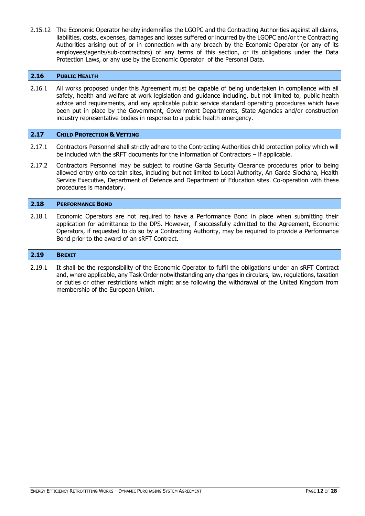2.15.12 The Economic Operator hereby indemnifies the LGOPC and the Contracting Authorities against all claims, liabilities, costs, expenses, damages and losses suffered or incurred by the LGOPC and/or the Contracting Authorities arising out of or in connection with any breach by the Economic Operator (or any of its employees/agents/sub-contractors) of any terms of this section, or its obligations under the Data Protection Laws, or any use by the Economic Operator of the Personal Data.

# <span id="page-11-0"></span>**2.16 PUBLIC HEALTH**

2.16.1 All works proposed under this Agreement must be capable of being undertaken in compliance with all safety, health and welfare at work legislation and guidance including, but not limited to, public health advice and requirements, and any applicable public service standard operating procedures which have been put in place by the Government, Government Departments, State Agencies and/or construction industry representative bodies in response to a public health emergency.

#### <span id="page-11-1"></span>**2.17 CHILD PROTECTION & VETTING**

- 2.17.1 Contractors Personnel shall strictly adhere to the Contracting Authorities child protection policy which will be included with the sRFT documents for the information of Contractors – if applicable.
- 2.17.2 Contractors Personnel may be subject to routine Garda Security Clearance procedures prior to being allowed entry onto certain sites, including but not limited to Local Authority, An Garda Síochána, Health Service Executive, Department of Defence and Department of Education sites. Co-operation with these procedures is mandatory.

#### <span id="page-11-2"></span>**2.18 PERFORMANCE BOND**

2.18.1 Economic Operators are not required to have a Performance Bond in place when submitting their application for admittance to the DPS. However, if successfully admitted to the Agreement, Economic Operators, if requested to do so by a Contracting Authority, may be required to provide a Performance Bond prior to the award of an sRFT Contract.

#### <span id="page-11-3"></span>**2.19 BREXIT**

2.19.1 It shall be the responsibility of the Economic Operator to fulfil the obligations under an sRFT Contract and, where applicable, any Task Order notwithstanding any changes in circulars, law, regulations, taxation or duties or other restrictions which might arise following the withdrawal of the United Kingdom from membership of the European Union.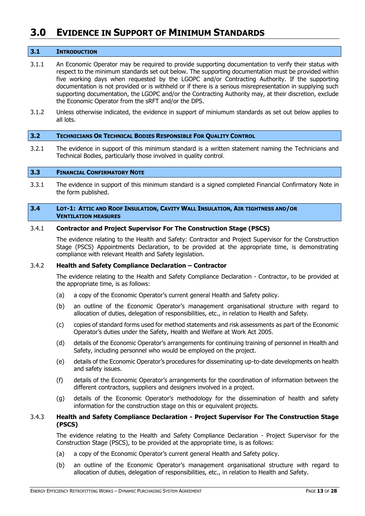# <span id="page-12-0"></span>**3.0 EVIDENCE IN SUPPORT OF MINIMUM STANDARDS**

### <span id="page-12-1"></span>**3.1 INTRODUCTION**

- 3.1.1 An Economic Operator may be required to provide supporting documentation to verify their status with respect to the minimum standards set out below. The supporting documentation must be provided within five working days when requested by the LGOPC and/or Contracting Authority. If the supporting documentation is not provided or is withheld or if there is a serious misrepresentation in supplying such supporting documentation, the LGOPC and/or the Contracting Authority may, at their discretion, exclude the Economic Operator from the sRFT and/or the DPS.
- 3.1.2 Unless otherwise indicated, the evidence in support of miniumum standards as set out below applies to all lots.

#### <span id="page-12-2"></span>**3.2 TECHNICIANS OR TECHNICAL BODIES RESPONSIBLE FOR QUALITY CONTROL**

3.2.1 The evidence in support of this minimum standard is a written statement naming the Technicians and Technical Bodies, particularly those involved in quality control.

#### <span id="page-12-3"></span>**3.3 FINANCIAL CONFIRMATORY NOTE**

3.3.1 The evidence in support of this minimum standard is a signed completed Financial Confirmatory Note in the form published.

#### <span id="page-12-4"></span>3.4 LOT-1: ATTIC AND ROOF INSULATION, CAVITY WALL INSULATION, AIR TIGHTNESS AND/OR **VENTILATION MEASURES**

#### 3.4.1 **Contractor and Project Supervisor For The Construction Stage (PSCS)**

The evidence relating to the Health and Safety: Contractor and Project Supervisor for the Construction Stage (PSCS) Appointments Declaration, to be provided at the appropriate time, is demonstrating compliance with relevant Health and Safety legislation.

# 3.4.2 **Health and Safety Compliance Declaration – Contractor**

The evidence relating to the Health and Safety Compliance Declaration - Contractor, to be provided at the appropriate time, is as follows:

- (a) a copy of the Economic Operator's current general Health and Safety policy.
- (b) an outline of the Economic Operator's management organisational structure with regard to allocation of duties, delegation of responsibilities, etc., in relation to Health and Safety.
- (c) copies of standard forms used for method statements and risk assessments as part of the Economic Operator's duties under the Safety, Health and Welfare at Work Act 2005.
- (d) details of the Economic Operator's arrangements for continuing training of personnel in Health and Safety, including personnel who would be employed on the project.
- (e) details of the Economic Operator's procedures for disseminating up-to-date developments on health and safety issues.
- (f) details of the Economic Operator's arrangements for the coordination of information between the different contractors, suppliers and designers involved in a project.
- (g) details of the Economic Operator's methodology for the dissemination of health and safety information for the construction stage on this or equivalent projects.

# 3.4.3 **Health and Safety Compliance Declaration - Project Supervisor For The Construction Stage (PSCS)**

The evidence relating to the Health and Safety Compliance Declaration - Project Supervisor for the Construction Stage (PSCS), to be provided at the appropriate time, is as follows:

- (a) a copy of the Economic Operator's current general Health and Safety policy.
- (b) an outline of the Economic Operator's management organisational structure with regard to allocation of duties, delegation of responsibilities, etc., in relation to Health and Safety.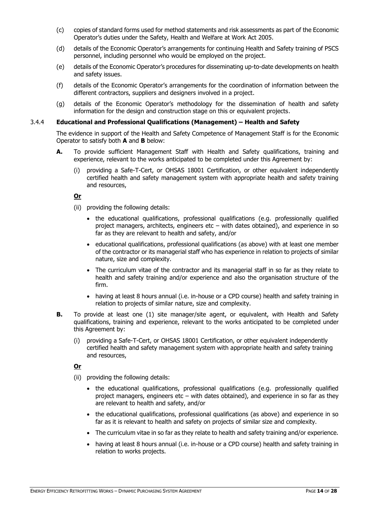- (c) copies of standard forms used for method statements and risk assessments as part of the Economic Operator's duties under the Safety, Health and Welfare at Work Act 2005.
- (d) details of the Economic Operator's arrangements for continuing Health and Safety training of PSCS personnel, including personnel who would be employed on the project.
- (e) details of the Economic Operator's procedures for disseminating up-to-date developments on health and safety issues.
- (f) details of the Economic Operator's arrangements for the coordination of information between the different contractors, suppliers and designers involved in a project.
- (g) details of the Economic Operator's methodology for the dissemination of health and safety information for the design and construction stage on this or equivalent projects.

# 3.4.4 **Educational and Professional Qualifications (Management) – Health and Safety**

The evidence in support of the Health and Safety Competence of Management Staff is for the Economic Operator to satisfy both **A** and **B** below:

- **A.** To provide sufficient Management Staff with Health and Safety qualifications, training and experience, relevant to the works anticipated to be completed under this Agreement by:
	- (i) providing a Safe-T-Cert, or OHSAS 18001 Certification, or other equivalent independently certified health and safety management system with appropriate health and safety training and resources,

# **Or**

- (ii) providing the following details:
	- the educational qualifications, professional qualifications (e.g. professionally qualified project managers, architects, engineers etc – with dates obtained), and experience in so far as they are relevant to health and safety, and/or
	- educational qualifications, professional qualifications (as above) with at least one member of the contractor or its managerial staff who has experience in relation to projects of similar nature, size and complexity.
	- The curriculum vitae of the contractor and its managerial staff in so far as they relate to health and safety training and/or experience and also the organisation structure of the firm.
	- having at least 8 hours annual (i.e. in-house or a CPD course) health and safety training in relation to projects of similar nature, size and complexity.
- **B.** To provide at least one (1) site manager/site agent, or equivalent, with Health and Safety qualifications, training and experience, relevant to the works anticipated to be completed under this Agreement by:
	- (i) providing a Safe-T-Cert, or OHSAS 18001 Certification, or other equivalent independently certified health and safety management system with appropriate health and safety training and resources,

# **Or**

- (ii) providing the following details:
	- the educational qualifications, professional qualifications (e.g. professionally qualified project managers, engineers etc – with dates obtained), and experience in so far as they are relevant to health and safety, and/or
	- the educational qualifications, professional qualifications (as above) and experience in so far as it is relevant to health and safety on projects of similar size and complexity.
	- The curriculum vitae in so far as they relate to health and safety training and/or experience.
	- having at least 8 hours annual (i.e. in-house or a CPD course) health and safety training in relation to works projects.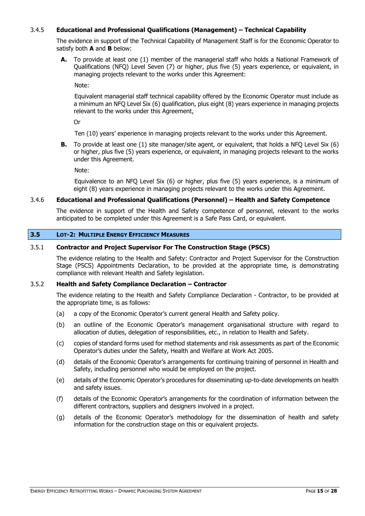# 3.4.5 **Educational and Professional Qualifications (Management) – Technical Capability**

The evidence in support of the Technical Capability of Management Staff is for the Economic Operator to satisfy both **A** and **B** below:

**A.** To provide at least one (1) member of the managerial staff who holds a National Framework of Qualifications (NFQ) Level Seven (7) or higher, plus five (5) years experience, or equivalent, in managing projects relevant to the works under this Agreement:

Note:

Equivalent managerial staff technical capability offered by the Economic Operator must include as a minimum an NFQ Level Six (6) qualification, plus eight (8) years experience in managing projects relevant to the works under this Agreement,

Or

Ten (10) years' experience in managing projects relevant to the works under this Agreement.

**B.** To provide at least one (1) site manager/site agent, or equivalent, that holds a NFO Level Six (6) or higher, plus five (5) years experience, or equivalent, in managing projects relevant to the works under this Agreement.

Note:

Equivalence to an NFQ Level Six (6) or higher, plus five (5) years experience, is a minimum of eight (8) years experience in managing projects relevant to the works under this Agreement.

# 3.4.6 **Educational and Professional Qualifications (Personnel) – Health and Safety Competence**

The evidence in support of the Health and Safety competence of personnel, relevant to the works anticipated to be completed under this Agreement is a Safe Pass Card, or equivalent.

# <span id="page-14-0"></span>**3.5 LOT-2: MULTIPLE ENERGY EFFICIENCY MEASURES**

# 3.5.1 **Contractor and Project Supervisor For The Construction Stage (PSCS)**

The evidence relating to the Health and Safety: Contractor and Project Supervisor for the Construction Stage (PSCS) Appointments Declaration, to be provided at the appropriate time, is demonstrating compliance with relevant Health and Safety legislation.

#### 3.5.2 **Health and Safety Compliance Declaration – Contractor**

The evidence relating to the Health and Safety Compliance Declaration - Contractor, to be provided at the appropriate time, is as follows:

- (a) a copy of the Economic Operator's current general Health and Safety policy.
- (b) an outline of the Economic Operator's management organisational structure with regard to allocation of duties, delegation of responsibilities, etc., in relation to Health and Safety.
- (c) copies of standard forms used for method statements and risk assessments as part of the Economic Operator's duties under the Safety, Health and Welfare at Work Act 2005.
- (d) details of the Economic Operator's arrangements for continuing training of personnel in Health and Safety, including personnel who would be employed on the project.
- (e) details of the Economic Operator's procedures for disseminating up-to-date developments on health and safety issues.
- (f) details of the Economic Operator's arrangements for the coordination of information between the different contractors, suppliers and designers involved in a project.
- (g) details of the Economic Operator's methodology for the dissemination of health and safety information for the construction stage on this or equivalent projects.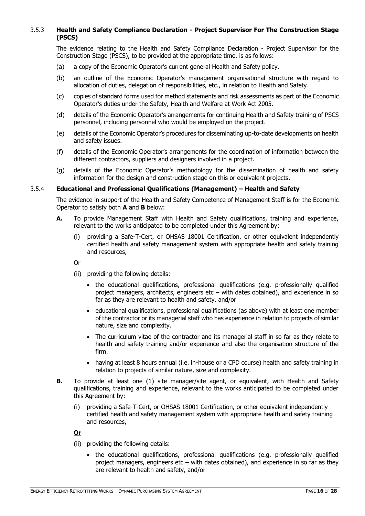# 3.5.3 **Health and Safety Compliance Declaration - Project Supervisor For The Construction Stage (PSCS)**

The evidence relating to the Health and Safety Compliance Declaration - Project Supervisor for the Construction Stage (PSCS), to be provided at the appropriate time, is as follows:

- (a) a copy of the Economic Operator's current general Health and Safety policy.
- (b) an outline of the Economic Operator's management organisational structure with regard to allocation of duties, delegation of responsibilities, etc., in relation to Health and Safety.
- (c) copies of standard forms used for method statements and risk assessments as part of the Economic Operator's duties under the Safety, Health and Welfare at Work Act 2005.
- (d) details of the Economic Operator's arrangements for continuing Health and Safety training of PSCS personnel, including personnel who would be employed on the project.
- (e) details of the Economic Operator's procedures for disseminating up-to-date developments on health and safety issues.
- (f) details of the Economic Operator's arrangements for the coordination of information between the different contractors, suppliers and designers involved in a project.
- (g) details of the Economic Operator's methodology for the dissemination of health and safety information for the design and construction stage on this or equivalent projects.

# 3.5.4 **Educational and Professional Qualifications (Management) – Health and Safety**

The evidence in support of the Health and Safety Competence of Management Staff is for the Economic Operator to satisfy both **A** and **B** below:

- **A.** To provide Management Staff with Health and Safety qualifications, training and experience, relevant to the works anticipated to be completed under this Agreement by:
	- (i) providing a Safe-T-Cert, or OHSAS 18001 Certification, or other equivalent independently certified health and safety management system with appropriate health and safety training and resources,
	- Or
	- (ii) providing the following details:
		- the educational qualifications, professional qualifications (e.g. professionally qualified project managers, architects, engineers etc – with dates obtained), and experience in so far as they are relevant to health and safety, and/or
		- educational qualifications, professional qualifications (as above) with at least one member of the contractor or its managerial staff who has experience in relation to projects of similar nature, size and complexity.
		- The curriculum vitae of the contractor and its managerial staff in so far as they relate to health and safety training and/or experience and also the organisation structure of the firm.
		- having at least 8 hours annual (i.e. in-house or a CPD course) health and safety training in relation to projects of similar nature, size and complexity.
- **B.** To provide at least one (1) site manager/site agent, or equivalent, with Health and Safety qualifications, training and experience, relevant to the works anticipated to be completed under this Agreement by:
	- (i) providing a Safe-T-Cert, or OHSAS 18001 Certification, or other equivalent independently certified health and safety management system with appropriate health and safety training and resources,

# **Or**

- (ii) providing the following details:
	- the educational qualifications, professional qualifications (e.g. professionally qualified project managers, engineers etc – with dates obtained), and experience in so far as they are relevant to health and safety, and/or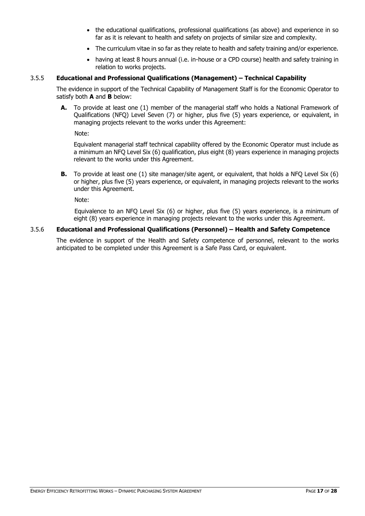- the educational qualifications, professional qualifications (as above) and experience in so far as it is relevant to health and safety on projects of similar size and complexity.
- The curriculum vitae in so far as they relate to health and safety training and/or experience.
- having at least 8 hours annual (i.e. in-house or a CPD course) health and safety training in relation to works projects.

# 3.5.5 **Educational and Professional Qualifications (Management) – Technical Capability**

The evidence in support of the Technical Capability of Management Staff is for the Economic Operator to satisfy both **A** and **B** below:

**A.** To provide at least one (1) member of the managerial staff who holds a National Framework of Qualifications (NFQ) Level Seven (7) or higher, plus five (5) years experience, or equivalent, in managing projects relevant to the works under this Agreement:

Note:

Equivalent managerial staff technical capability offered by the Economic Operator must include as a minimum an NFQ Level Six (6) qualification, plus eight (8) years experience in managing projects relevant to the works under this Agreement.

**B.** To provide at least one (1) site manager/site agent, or equivalent, that holds a NFQ Level Six (6) or higher, plus five (5) years experience, or equivalent, in managing projects relevant to the works under this Agreement.

Note:

Equivalence to an NFQ Level Six (6) or higher, plus five (5) years experience, is a minimum of eight (8) years experience in managing projects relevant to the works under this Agreement.

# 3.5.6 **Educational and Professional Qualifications (Personnel) – Health and Safety Competence**

The evidence in support of the Health and Safety competence of personnel, relevant to the works anticipated to be completed under this Agreement is a Safe Pass Card, or equivalent.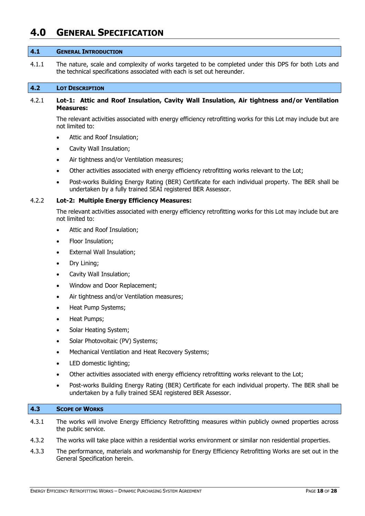# <span id="page-17-0"></span>**4.0 GENERAL SPECIFICATION**

#### <span id="page-17-1"></span>**4.1 GENERAL INTRODUCTION**

4.1.1 The nature, scale and complexity of works targeted to be completed under this DPS for both Lots and the technical specifications associated with each is set out hereunder.

#### <span id="page-17-2"></span>**4.2 LOT DESCRIPTION**

# 4.2.1 **Lot-1: Attic and Roof Insulation, Cavity Wall Insulation, Air tightness and/or Ventilation Measures:**

The relevant activities associated with energy efficiency retrofitting works for this Lot may include but are not limited to:

- Attic and Roof Insulation;
- Cavity Wall Insulation;
- Air tightness and/or Ventilation measures;
- Other activities associated with energy efficiency retrofitting works relevant to the Lot;
- Post-works Building Energy Rating (BER) Certificate for each individual property. The BER shall be undertaken by a fully trained SEAI registered BER Assessor.

# 4.2.2 **Lot-2: Multiple Energy Efficiency Measures:**

The relevant activities associated with energy efficiency retrofitting works for this Lot may include but are not limited to:

- Attic and Roof Insulation;
- Floor Insulation;
- External Wall Insulation;
- Dry Lining;
- Cavity Wall Insulation;
- Window and Door Replacement;
- Air tightness and/or Ventilation measures;
- Heat Pump Systems;
- Heat Pumps;
- Solar Heating System;
- Solar Photovoltaic (PV) Systems;
- Mechanical Ventilation and Heat Recovery Systems;
- LED domestic lighting;
- Other activities associated with energy efficiency retrofitting works relevant to the Lot;
- Post-works Building Energy Rating (BER) Certificate for each individual property. The BER shall be undertaken by a fully trained SEAI registered BER Assessor.

### <span id="page-17-3"></span>**4.3 SCOPE OF WORKS**

- 4.3.1 The works will involve Energy Efficiency Retrofitting measures within publicly owned properties across the public service.
- 4.3.2 The works will take place within a residential works environment or similar non residential properties.
- 4.3.3 The performance, materials and workmanship for Energy Efficiency Retrofitting Works are set out in the General Specification herein.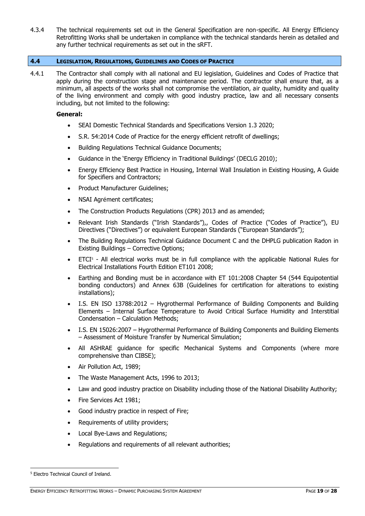4.3.4 The technical requirements set out in the General Specification are non-specific. All Energy Efficiency Retrofitting Works shall be undertaken in compliance with the technical standards herein as detailed and any further technical requirements as set out in the sRFT.

# <span id="page-18-0"></span>**4.4 LEGISLATION, REGULATIONS, GUIDELINES AND CODES OF PRACTICE**

4.4.1 The Contractor shall comply with all national and EU legislation, Guidelines and Codes of Practice that apply during the construction stage and maintenance period. The contractor shall ensure that, as a minimum, all aspects of the works shall not compromise the ventilation, air quality, humidity and quality of the living environment and comply with good industry practice, law and all necessary consents including, but not limited to the following:

# **General:**

- SEAI Domestic Technical Standards and Specifications Version 1.3 2020;
- S.R. 54:2014 Code of Practice for the energy efficient retrofit of dwellings;
- Building Regulations Technical Guidance Documents;
- Guidance in the 'Energy Efficiency in Traditional Buildings' (DECLG 2010);
- Energy Efficiency Best Practice in Housing, Internal Wall Insulation in Existing Housing, A Guide for Specifiers and Contractors;
- Product Manufacturer Guidelines;
- NSAI Agrément certificates;
- The Construction Products Regulations (CPR) 2013 and as amended;
- Relevant Irish Standards ("Irish Standards"),, Codes of Practice ("Codes of Practice"), EU Directives ("Directives") or equivalent European Standards ("European Standards");
- The Building Regulations Technical Guidance Document C and the DHPLG publication Radon in Existing Buildings – Corrective Options;
- $\bullet$  ETCI<sup>5</sup> All electrical works must be in full compliance with the applicable National Rules for Electrical Installations Fourth Edition ET101 2008;
- Earthing and Bonding must be in accordance with ET 101:2008 Chapter 54 (544 Equipotential bonding conductors) and Annex 63B (Guidelines for certification for alterations to existing installations);
- I.S. EN ISO 13788:2012 Hygrothermal Performance of Building Components and Building Elements – Internal Surface Temperature to Avoid Critical Surface Humidity and Interstitial Condensation – Calculation Methods;
- I.S. EN 15026:2007 Hygrothermal Performance of Building Components and Building Elements – Assessment of Moisture Transfer by Numerical Simulation;
- All ASHRAE guidance for specific Mechanical Systems and Components (where more comprehensive than CIBSE);
- Air Pollution Act, 1989;
- The Waste Management Acts, 1996 to 2013;
- Law and good industry practice on Disability including those of the National Disability Authority;
- Fire Services Act 1981;
- Good industry practice in respect of Fire;
- Requirements of utility providers;
- Local Bye-Laws and Regulations;
- Regulations and requirements of all relevant authorities;

-

<sup>5</sup> Electro Technical Council of Ireland.

ENERGY EFFICIENCY RETROFITTING WORKS – DYNAMIC PURCHASING SYSTEM AGREEMENT PAGE **19** OF **28**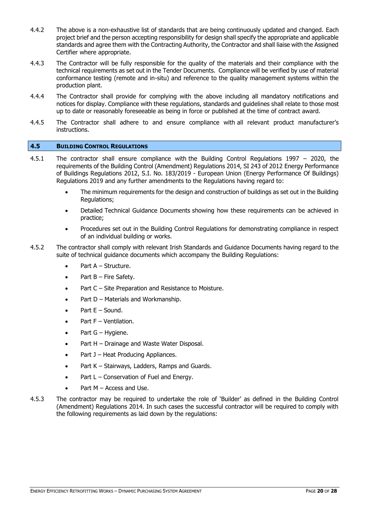- 4.4.2 The above is a non-exhaustive list of standards that are being continuously updated and changed. Each project brief and the person accepting responsibility for design shall specify the appropriate and applicable standards and agree them with the Contracting Authority, the Contractor and shall liaise with the Assigned Certifier where appropriate.
- 4.4.3 The Contractor will be fully responsible for the quality of the materials and their compliance with the technical requirements as set out in the Tender Documents. Compliance will be verified by use of material conformance testing (remote and in-situ) and reference to the quality management systems within the production plant.
- 4.4.4 The Contractor shall provide for complying with the above including all mandatory notifications and notices for display. Compliance with these regulations, standards and guidelines shall relate to those most up to date or reasonably foreseeable as being in force or published at the time of contract award.
- 4.4.5 The Contractor shall adhere to and ensure compliance with all relevant product manufacturer's instructions.

# <span id="page-19-0"></span>**4.5 BUILDING CONTROL REGULATIONS**

- 4.5.1 The contractor shall ensure compliance with the Building Control Regulations 1997 2020, the requirements of the Building Control (Amendment) Regulations 2014, SI 243 of 2012 Energy Performance of Buildings Regulations 2012, S.I. No. 183/2019 - European Union (Energy Performance Of Buildings) Regulations 2019 and any further amendments to the Regulations having regard to:
	- The minimum requirements for the design and construction of buildings as set out in the Building Regulations;
	- Detailed Technical Guidance Documents showing how these requirements can be achieved in practice;
	- Procedures set out in the Building Control Regulations for demonstrating compliance in respect of an individual building or works.
- 4.5.2 The contractor shall comply with relevant Irish Standards and Guidance Documents having regard to the suite of technical guidance documents which accompany the Building Regulations:
	- Part A Structure.
	- Part B Fire Safety.
	- Part C Site Preparation and Resistance to Moisture.
	- Part D Materials and Workmanship.
	- Part E Sound.
	- Part F Ventilation.
	- $\bullet$  Part G Hygiene.
	- Part H Drainage and Waste Water Disposal.
	- $\bullet$  Part J Heat Producing Appliances.
	- Part K Stairways, Ladders, Ramps and Guards.
	- $\bullet$  Part L Conservation of Fuel and Energy.
	- Part M Access and Use.
- 4.5.3 The contractor may be required to undertake the role of 'Builder' as defined in the Building Control (Amendment) Regulations 2014. In such cases the successful contractor will be required to comply with the following requirements as laid down by the regulations: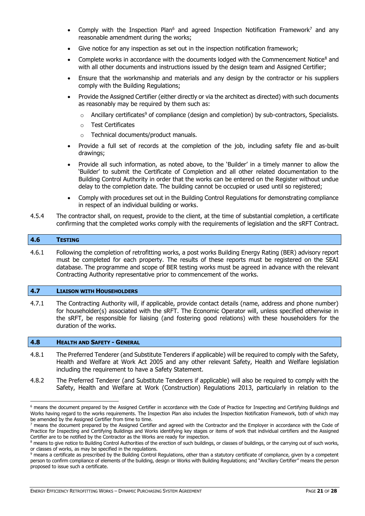- Comply with the Inspection Plan<sup>6</sup> and agreed Inspection Notification Framework<sup>7</sup> and any reasonable amendment during the works;
- Give notice for any inspection as set out in the inspection notification framework;
- Complete works in accordance with the documents lodged with the Commencement Notice<sup>8</sup> and with all other documents and instructions issued by the design team and Assigned Certifier;
- Ensure that the workmanship and materials and any design by the contractor or his suppliers comply with the Building Regulations;
- Provide the Assigned Certifier (either directly or via the architect as directed) with such documents as reasonably may be required by them such as:
	- $\circ$  Ancillary certificates<sup>9</sup> of compliance (design and completion) by sub-contractors, Specialists.
	- o Test Certificates
	- o Technical documents/product manuals.
- Provide a full set of records at the completion of the job, including safety file and as-built drawings;
- Provide all such information, as noted above, to the 'Builder' in a timely manner to allow the 'Builder' to submit the Certificate of Completion and all other related documentation to the Building Control Authority in order that the works can be entered on the Register without undue delay to the completion date. The building cannot be occupied or used until so registered;
- Comply with procedures set out in the Building Control Regulations for demonstrating compliance in respect of an individual building or works.
- 4.5.4 The contractor shall, on request, provide to the client, at the time of substantial completion, a certificate confirming that the completed works comply with the requirements of legislation and the sRFT Contract.

#### <span id="page-20-0"></span>**4.6 TESTING**

-

4.6.1 Following the completion of retrofitting works, a post works Building Energy Rating (BER) advisory report must be completed for each property. The results of these reports must be registered on the SEAI database. The programme and scope of BER testing works must be agreed in advance with the relevant Contracting Authority representative prior to commencement of the works.

#### <span id="page-20-1"></span>**4.7 LIAISON WITH HOUSEHOLDERS**

4.7.1 The Contracting Authority will, if applicable, provide contact details (name, address and phone number) for householder(s) associated with the sRFT. The Economic Operator will, unless specified otherwise in the sRFT, be responsible for liaising (and fostering good relations) with these householders for the duration of the works.

#### <span id="page-20-2"></span>**4.8 HEALTH AND SAFETY - GENERAL**

- 4.8.1 The Preferred Tenderer (and Substitute Tenderers if applicable) will be required to comply with the Safety, Health and Welfare at Work Act 2005 and any other relevant Safety, Health and Welfare legislation including the requirement to have a Safety Statement.
- 4.8.2 The Preferred Tenderer (and Substitute Tenderers if applicable) will also be required to comply with the Safety, Health and Welfare at Work (Construction) Regulations 2013, particularly in relation to the

<sup>&</sup>lt;sup>6</sup> means the document prepared by the Assigned Certifier in accordance with the Code of Practice for Inspecting and Certifying Buildings and Works having regard to the works requirements. The Inspection Plan also includes the Inspection Notification Framework, both of which may be amended by the Assigned Certifier from time to time.

<sup>7</sup> means the document prepared by the Assigned Certifier and agreed with the Contractor and the Employer in accordance with the Code of Practice for Inspecting and Certifying Buildings and Works identifying key stages or items of work that individual certifiers and the Assigned Certifier are to be notified by the Contractor as the Works are ready for inspection.

<sup>&</sup>lt;sup>8</sup> means to give notice to Building Control Authorities of the erection of such buildings, or classes of buildings, or the carrying out of such works, or classes of works, as may be specified in the regulations.

<sup>&</sup>lt;sup>9</sup> means a certificate as prescribed by the Building Control Regulations, other than a statutory certificate of compliance, given by a competent person to confirm compliance of elements of the building, design or Works with Building Regulations; and "Ancillary Certifier" means the person proposed to issue such a certificate.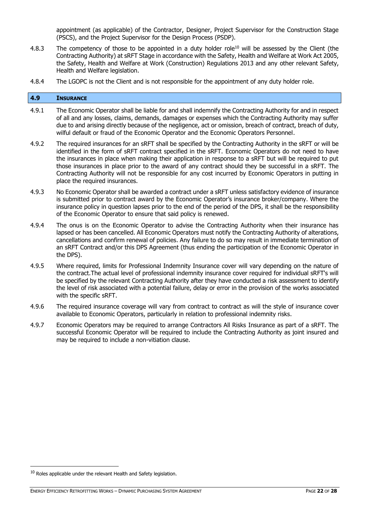appointment (as applicable) of the Contractor, Designer, Project Supervisor for the Construction Stage (PSCS), and the Project Supervisor for the Design Process (PSDP).

- 4.8.3 The competency of those to be appointed in a duty holder role<sup>10</sup> will be assessed by the Client (the Contracting Authority) at sRFT Stage in accordance with the Safety, Health and Welfare at Work Act 2005, the Safety, Health and Welfare at Work (Construction) Regulations 2013 and any other relevant Safety, Health and Welfare legislation.
- 4.8.4 The LGOPC is not the Client and is not responsible for the appointment of any duty holder role.

### <span id="page-21-0"></span>**4.9 INSURANCE**

- 4.9.1 The Economic Operator shall be liable for and shall indemnify the Contracting Authority for and in respect of all and any losses, claims, demands, damages or expenses which the Contracting Authority may suffer due to and arising directly because of the negligence, act or omission, breach of contract, breach of duty, wilful default or fraud of the Economic Operator and the Economic Operators Personnel.
- 4.9.2 The required insurances for an sRFT shall be specified by the Contracting Authority in the sRFT or will be identified in the form of sRFT contract specified in the sRFT. Economic Operators do not need to have the insurances in place when making their application in response to a sRFT but will be required to put those insurances in place prior to the award of any contract should they be successful in a sRFT. The Contracting Authority will not be responsible for any cost incurred by Economic Operators in putting in place the required insurances.
- 4.9.3 No Economic Operator shall be awarded a contract under a sRFT unless satisfactory evidence of insurance is submitted prior to contract award by the Economic Operator's insurance broker/company. Where the insurance policy in question lapses prior to the end of the period of the DPS, it shall be the responsibility of the Economic Operator to ensure that said policy is renewed.
- 4.9.4 The onus is on the Economic Operator to advise the Contracting Authority when their insurance has lapsed or has been cancelled. All Economic Operators must notify the Contracting Authority of alterations, cancellations and confirm renewal of policies. Any failure to do so may result in immediate termination of an sRFT Contract and/or this DPS Agreement (thus ending the participation of the Economic Operator in the DPS).
- 4.9.5 Where required, limits for Professional Indemnity Insurance cover will vary depending on the nature of the contract.The actual level of professional indemnity insurance cover required for individual sRFT's will be specified by the relevant Contracting Authority after they have conducted a risk assessment to identify the level of risk associated with a potential failure, delay or error in the provision of the works associated with the specific sRFT.
- 4.9.6 The required insurance coverage will vary from contract to contract as will the style of insurance cover available to Economic Operators, particularly in relation to professional indemnity risks.
- 4.9.7 Economic Operators may be required to arrange Contractors All Risks Insurance as part of a sRFT. The successful Economic Operator will be required to include the Contracting Authority as joint insured and may be required to include a non-vitiation clause.

-

 $10$  Roles applicable under the relevant Health and Safety legislation.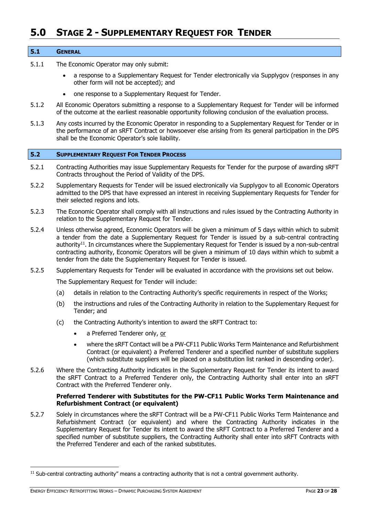# <span id="page-22-0"></span>**5.0 STAGE 2 - SUPPLEMENTARY REQUEST FOR TENDER**

#### <span id="page-22-1"></span>**5.1 GENERAL**

- 5.1.1 The Economic Operator may only submit:
	- a response to a Supplementary Request for Tender electronically via Supplygov (responses in any other form will not be accepted); and
	- one response to a Supplementary Request for Tender.
- 5.1.2 All Economic Operators submitting a response to a Supplementary Request for Tender will be informed of the outcome at the earliest reasonable opportunity following conclusion of the evaluation process.
- 5.1.3 Any costs incurred by the Economic Operator in responding to a Supplementary Request for Tender or in the performance of an sRFT Contract or howsoever else arising from its general participation in the DPS shall be the Economic Operator's sole liability.

# <span id="page-22-2"></span>**5.2 SUPPLEMENTARY REQUEST FOR TENDER PROCESS**

- 5.2.1 Contracting Authorities may issue Supplementary Requests for Tender for the purpose of awarding sRFT Contracts throughout the Period of Validity of the DPS.
- 5.2.2 Supplementary Requests for Tender will be issued electronically via Supplygov to all Economic Operators admitted to the DPS that have expressed an interest in receiving Supplementary Requests for Tender for their selected regions and lots.
- 5.2.3 The Economic Operator shall comply with all instructions and rules issued by the Contracting Authority in relation to the Supplementary Request for Tender.
- 5.2.4 Unless otherwise agreed, Economic Operators will be given a minimum of 5 days within which to submit a tender from the date a Supplementary Request for Tender is issued by a sub-central contracting authority<sup>11</sup>. In circumstances where the Supplementary Request for Tender is issued by a non-sub-central contracting authority, Economic Operators will be given a minimum of 10 days within which to submit a tender from the date the Supplementary Request for Tender is issued.
- 5.2.5 Supplementary Requests for Tender will be evaluated in accordance with the provisions set out below.

The Supplementary Request for Tender will include:

- (a) details in relation to the Contracting Authority's specific requirements in respect of the Works;
- (b) the instructions and rules of the Contracting Authority in relation to the Supplementary Request for Tender; and
- (c) the Contracting Authority's intention to award the sRFT Contract to:
	- a Preferred Tenderer only, or
	- where the sRFT Contact will be a PW-CF11 Public Works Term Maintenance and Refurbishment Contract (or equivalent) a Preferred Tenderer and a specified number of substitute suppliers (which substitute suppliers will be placed on a substitution list ranked in descending order).
- 5.2.6 Where the Contracting Authority indicates in the Supplementary Request for Tender its intent to award the sRFT Contract to a Preferred Tenderer only, the Contracting Authority shall enter into an sRFT Contract with the Preferred Tenderer only.

# **Preferred Tenderer with Substitutes for the PW-CF11 Public Works Term Maintenance and Refurbishment Contract (or equivalent)**

5.2.7 Solely in circumstances where the sRFT Contract will be a PW-CF11 Public Works Term Maintenance and Refurbishment Contract (or equivalent) and where the Contracting Authority indicates in the Supplementary Request for Tender its intent to award the sRFT Contract to a Preferred Tenderer and a specified number of substitute suppliers, the Contracting Authority shall enter into sRFT Contracts with the Preferred Tenderer and each of the ranked substitutes.

-

 $11$  Sub-central contracting authority" means a contracting authority that is not a central government authority.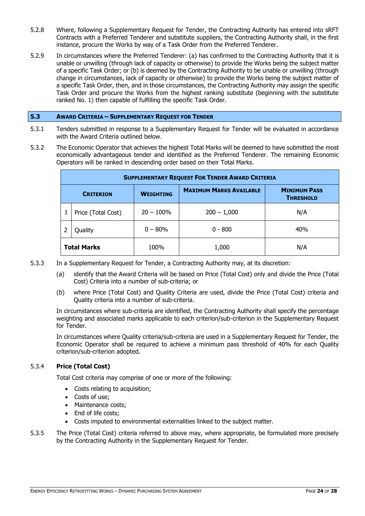- 5.2.8 Where, following a Supplementary Request for Tender, the Contracting Authority has entered into sRFT Contracts with a Preferred Tenderer and substitute suppliers, the Contracting Authority shall, in the first instance, procure the Works by way of a Task Order from the Preferred Tenderer.
- 5.2.9 In circumstances where the Preferred Tenderer: (a) has confirmed to the Contracting Authority that it is unable or unwilling (through lack of capacity or otherwise) to provide the Works being the subject matter of a specific Task Order; or (b) is deemed by the Contracting Authority to be unable or unwilling (through change in circumstances, lack of capacity or otherwise) to provide the Works being the subject matter of a specific Task Order, then, and in those circumstances, the Contracting Authority may assign the specific Task Order and procure the Works from the highest ranking substitute (beginning with the substitute ranked No. 1) then capable of fulfilling the specific Task Order.

# <span id="page-23-0"></span>**5.3 AWARD CRITERIA – SUPPLEMENTARY REQUEST FOR TENDER**

- 5.3.1 Tenders submitted in response to a Supplementary Request for Tender will be evaluated in accordance with the Award Criteria outlined below.
- 5.3.2 The Economic Operator that achieves the highest Total Marks will be deemed to have submitted the most economically advantageous tender and identified as the Preferred Tenderer. The remaining Economic Operators will be ranked in descending order based on their Total Marks.

| <b>SUPPLEMENTARY REQUEST FOR TENDER AWARD CRITERIA</b> |                    |                  |                                |                                         |  |  |  |
|--------------------------------------------------------|--------------------|------------------|--------------------------------|-----------------------------------------|--|--|--|
| <b>CRITERION</b>                                       |                    | <b>WEIGHTING</b> | <b>MAXIMUM MARKS AVAILABLE</b> | <b>MINIMUM PASS</b><br><b>THRESHOLD</b> |  |  |  |
|                                                        | Price (Total Cost) | $20 - 100\%$     | $200 - 1,000$                  | N/A                                     |  |  |  |
|                                                        | Quality            | $0 - 80\%$       | $0 - 800$                      | 40%                                     |  |  |  |
| <b>Total Marks</b>                                     |                    | 100%             | 1,000                          | N/A                                     |  |  |  |

- 5.3.3 In a Supplementary Request for Tender, a Contracting Authority may, at its discretion:
	- (a) identify that the Award Criteria will be based on Price (Total Cost) only and divide the Price (Total Cost) Criteria into a number of sub-criteria; or
	- (b) where Price (Total Cost) and Quality Criteria are used, divide the Price (Total Cost) criteria and Quality criteria into a number of sub-criteria.

In circumstances where sub-criteria are identified, the Contracting Authority shall specify the percentage weighting and associated marks applicable to each criterion/sub-criterion in the Supplementary Request for Tender.

In circumstances where Quality criteria/sub-criteria are used in a Supplementary Request for Tender, the Economic Operator shall be required to achieve a minimum pass threshold of 40% for each Quality criterion/sub-criterion adopted.

# 5.3.4 **Price (Total Cost)**

Total Cost criteria may comprise of one or more of the following:

- Costs relating to acquisition;
- Costs of use;
- Maintenance costs:
- End of life costs:
- Costs imputed to environmental externalities linked to the subject matter.
- 5.3.5 The Price (Total Cost) criteria referred to above may, where appropriate, be formulated more precisely by the Contracting Authority in the Supplementary Request for Tender.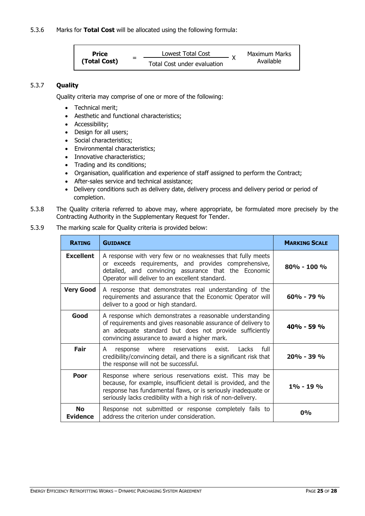**Price (Total Cost)** = Lowest Total Cost  $\frac{1}{x}$ Maximum Marks<br>Available Total Cost under evaluation

# 5.3.7 **Quality**

Quality criteria may comprise of one or more of the following:

- Technical merit;
- Aesthetic and functional characteristics;
- Accessibility;
- Design for all users;
- Social characteristics;
- Environmental characteristics;
- Innovative characteristics;
- Trading and its conditions;
- Organisation, qualification and experience of staff assigned to perform the Contract;
- After-sales service and technical assistance;
- Delivery conditions such as delivery date, delivery process and delivery period or period of completion.
- 5.3.8 The Quality criteria referred to above may, where appropriate, be formulated more precisely by the Contracting Authority in the Supplementary Request for Tender.

# 5.3.9 The marking scale for Quality criteria is provided below:

| <b>RATING</b>                | <b>GUIDANCE</b>                                                                                                                                                                                                                                            | <b>MARKING SCALE</b> |  |  |
|------------------------------|------------------------------------------------------------------------------------------------------------------------------------------------------------------------------------------------------------------------------------------------------------|----------------------|--|--|
| <b>Excellent</b>             | A response with very few or no weaknesses that fully meets<br>or exceeds requirements, and provides comprehensive,<br>detailed, and convincing assurance that the Economic<br>Operator will deliver to an excellent standard.                              |                      |  |  |
| <b>Very Good</b>             | $60\% - 79\%$                                                                                                                                                                                                                                              |                      |  |  |
| Good                         | A response which demonstrates a reasonable understanding<br>of requirements and gives reasonable assurance of delivery to<br>an adequate standard but does not provide sufficiently<br>convincing assurance to award a higher mark.                        | $40\% - 59\%$        |  |  |
| Fair                         | response where reservations exist. Lacks<br>full<br>A<br>credibility/convincing detail, and there is a significant risk that<br>the response will not be successful.                                                                                       | $20\% - 39\%$        |  |  |
| Poor                         | Response where serious reservations exist. This may be<br>because, for example, insufficient detail is provided, and the<br>response has fundamental flaws, or is seriously inadequate or<br>seriously lacks credibility with a high risk of non-delivery. | $1\% - 19\%$         |  |  |
| <b>No</b><br><b>Evidence</b> | Response not submitted or response completely fails to<br>address the criterion under consideration.                                                                                                                                                       | 0%                   |  |  |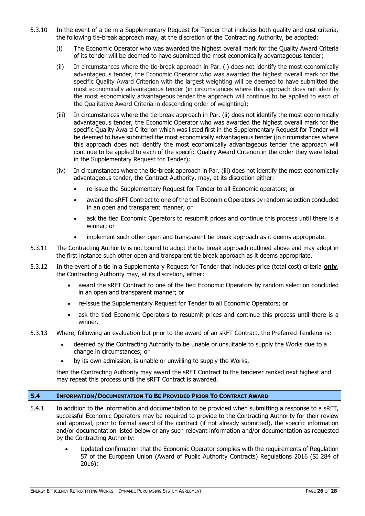- 5.3.10 In the event of a tie in a Supplementary Request for Tender that includes both quality and cost criteria, the following tie-break approach may, at the discretion of the Contracting Authority, be adopted:
	- (i) The Economic Operator who was awarded the highest overall mark for the Quality Award Criteria of its tender will be deemed to have submitted the most economically advantageous tender;
	- (ii) In circumstances where the tie-break approach in Par. (i) does not identify the most economically advantageous tender, the Economic Operator who was awarded the highest overall mark for the specific Quality Award Criterion with the largest weighting will be deemed to have submitted the most economically advantageous tender (in circumstances where this approach does not identify the most economically advantageous tender the approach will continue to be applied to each of the Qualitative Award Criteria in descending order of weighting);
	- (iii) In circumstances where the tie-break approach in Par. (ii) does not identify the most economically advantageous tender, the Economic Operator who was awarded the highest overall mark for the specific Quality Award Criterion which was listed first in the Supplementary Request for Tender will be deemed to have submitted the most economically advantageous tender (in circumstances where this approach does not identify the most economically advantageous tender the approach will continue to be applied to each of the specific Quality Award Criterion in the order they were listed in the Supplementary Request for Tender);
	- (iv) In circumstances where the tie-break approach in Par. (iii) does not identify the most economically advantageous tender, the Contract Authority, may, at its discretion either:
		- re-issue the Supplementary Request for Tender to all Economic operators; or
		- award the sRFT Contract to one of the tied Economic Operators by random selection concluded in an open and transparent manner; or
		- ask the tied Economic Operators to resubmit prices and continue this process until there is a winner; or
		- implement such other open and transparent tie break approach as it deems appropriate.
- 5.3.11 The Contracting Authority is not bound to adopt the tie break approach outlined above and may adopt in the first instance such other open and transparent tie break approach as it deems appropriate.
- 5.3.12 In the event of a tie in a Supplementary Request for Tender that includes price (total cost) criteria **only**, the Contracting Authority may, at its discretion, either:
	- award the sRFT Contract to one of the tied Economic Operators by random selection concluded in an open and transparent manner; or
	- re-issue the Supplementary Request for Tender to all Economic Operators; or
	- ask the tied Economic Operators to resubmit prices and continue this process until there is a winner.
- 5.3.13 Where, following an evaluation but prior to the award of an sRFT Contract, the Preferred Tenderer is:
	- deemed by the Contracting Authority to be unable or unsuitable to supply the Works due to a change in circumstances; or
	- by its own admission, is unable or unwilling to supply the Works,

then the Contracting Authority may award the sRFT Contract to the tenderer ranked next highest and may repeat this process until the sRFT Contract is awarded.

# <span id="page-25-0"></span>**5.4 INFORMATION/DOCUMENTATION TO BE PROVIDED PRIOR TO CONTRACT AWARD**

- 5.4.1 In addition to the information and documentation to be provided when submitting a response to a sRFT, successful Economic Operators may be required to provide to the Contracting Authority for their review and approval, prior to formal award of the contract (if not already submitted), the specific information and/or documentation listed below or any such relevant information and/or documentation as requested by the Contracting Authority:
	- Updated confirmation that the Economic Operator complies with the requirements of Regulation 57 of the European Union (Award of Public Authority Contracts) Regulations 2016 (SI 284 of 2016);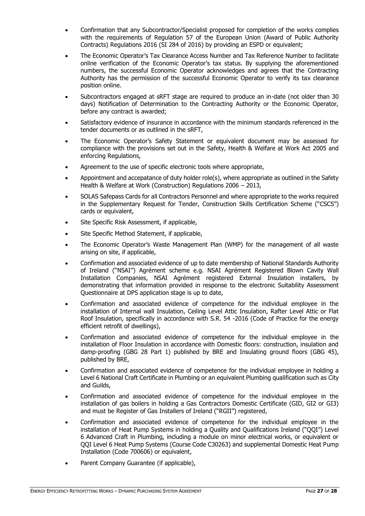- Confirmation that any Subcontractor/Specialist proposed for completion of the works complies with the requirements of Regulation 57 of the European Union (Award of Public Authority Contracts) Regulations 2016 (SI 284 of 2016) by providing an ESPD or equivalent;
- The Economic Operator's Tax Clearance Access Number and Tax Reference Number to facilitate online verification of the Economic Operator's tax status. By supplying the aforementioned numbers, the successful Economic Operator acknowledges and agrees that the Contracting Authority has the permission of the successful Economic Operator to verify its tax clearance position online.
- Subcontractors engaged at sRFT stage are required to produce an in-date (not older than 30 days) Notification of Determination to the Contracting Authority or the Economic Operator, before any contract is awarded;
- Satisfactory evidence of insurance in accordance with the minimum standards referenced in the tender documents or as outlined in the sRFT,
- The Economic Operator's Safety Statement or equivalent document may be assessed for compliance with the provisions set out in the Safety, Health & Welfare at Work Act 2005 and enforcing Regulations,
- Agreement to the use of specific electronic tools where appropriate,
- Appointment and accepatance of duty holder role(s), where appropriate as outlined in the Safety Health & Welfare at Work (Construction) Regulations 2006 – 2013,
- SOLAS Safepass Cards for all Contractors Personnel and where appropriate to the works required in the Supplementary Request for Tender, Construction Skills Certification Scheme ("CSCS") cards or equivalent,
- Site Specific Risk Assessment, if applicable,
- Site Specific Method Statement, if applicable,
- The Economic Operator's Waste Management Plan (WMP) for the management of all waste arising on site, if applicable,
- Confirmation and associated evidence of up to date membership of National Standards Authority of Ireland ("NSAI") Agrément scheme e.g. NSAI Agrément Registered Blown Cavity Wall Installation Companies, NSAI Agrément registered External Insulation installers, by demonstrating that information provided in response to the electronic Suitability Assessment Questionnaire at DPS application stage is up to date,
- Confirmation and associated evidence of competence for the individual employee in the installation of Internal wall Insulation, Ceiling Level Attic Insulation, Rafter Level Attic or Flat Roof Insulation, specifically in accordance with S.R. 54 -2016 (Code of Practice for the energy efficient retrofit of dwellings),
- Confirmation and associated evidence of competence for the individual employee in the installation of Floor Insulation in accordance with Domestic floors: construction, insulation and damp-proofing (GBG 28 Part 1) published by BRE and Insulating ground floors (GBG 45), published by BRE,
- Confirmation and associated evidence of competence for the individual employee in holding a Level 6 National Craft Certificate in Plumbing or an equivalent Plumbing qualification such as City and Guilds,
- Confirmation and associated evidence of competence for the individual employee in the installation of gas boilers in holding a Gas Contractors Domestic Certificate (GID, GI2 or GI3) and must be Register of Gas Installers of Ireland ("RGII") registered,
- Confirmation and associated evidence of competence for the individual employee in the installation of Heat Pump Systems in holding a Quality and Qualifications Ireland ("QQI") Level 6 Advanced Craft in Plumbing, including a module on minor electrical works, or equivalent or QQI Level 6 Heat Pump Systems (Course Code C30263) and supplemental Domestic Heat Pump Installation (Code 700606) or equivalent,
- Parent Company Guarantee (if applicable),